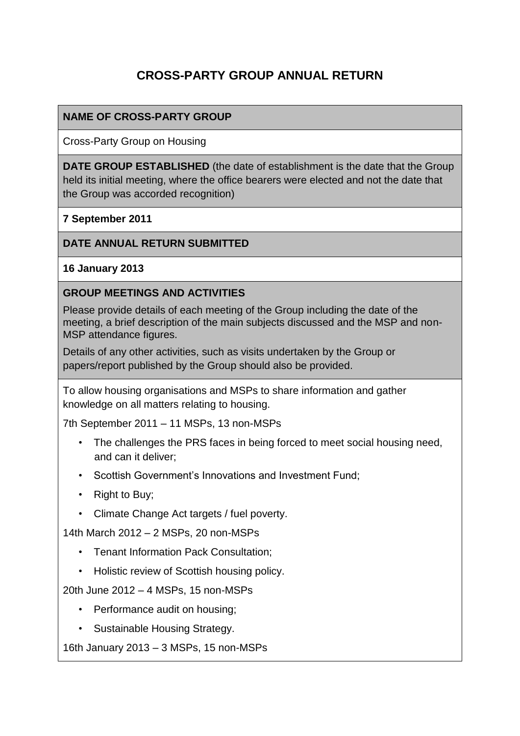# **CROSS-PARTY GROUP ANNUAL RETURN**

### **NAME OF CROSS-PARTY GROUP**

Cross-Party Group on Housing

**DATE GROUP ESTABLISHED** (the date of establishment is the date that the Group held its initial meeting, where the office bearers were elected and not the date that the Group was accorded recognition)

**7 September 2011**

#### **DATE ANNUAL RETURN SUBMITTED**

**16 January 2013**

#### **GROUP MEETINGS AND ACTIVITIES**

Please provide details of each meeting of the Group including the date of the meeting, a brief description of the main subjects discussed and the MSP and non-MSP attendance figures.

Details of any other activities, such as visits undertaken by the Group or papers/report published by the Group should also be provided.

To allow housing organisations and MSPs to share information and gather knowledge on all matters relating to housing.

7th September 2011 – 11 MSPs, 13 non-MSPs

- The challenges the PRS faces in being forced to meet social housing need, and can it deliver;
- Scottish Government's Innovations and Investment Fund;
- Right to Buy;
- Climate Change Act targets / fuel poverty.

14th March 2012 – 2 MSPs, 20 non-MSPs

- Tenant Information Pack Consultation;
- Holistic review of Scottish housing policy.

20th June 2012 – 4 MSPs, 15 non-MSPs

- Performance audit on housing;
- Sustainable Housing Strategy.

16th January 2013 – 3 MSPs, 15 non-MSPs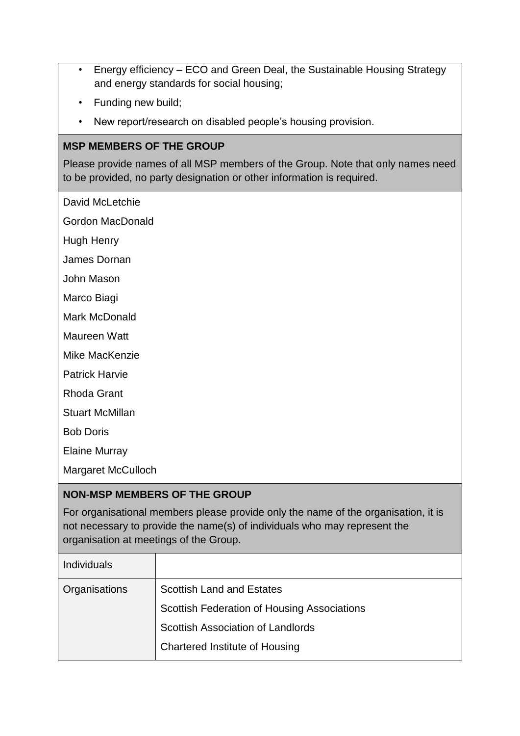- Energy efficiency ECO and Green Deal, the Sustainable Housing Strategy and energy standards for social housing;
- Funding new build;
- New report/research on disabled people's housing provision.

#### **MSP MEMBERS OF THE GROUP**

Please provide names of all MSP members of the Group. Note that only names need to be provided, no party designation or other information is required.

David McLetchie

Gordon MacDonald

Hugh Henry

James Dornan

John Mason

Marco Biagi

Mark McDonald

Maureen Watt

Mike MacKenzie

Patrick Harvie

Rhoda Grant

Stuart McMillan

Bob Doris

Elaine Murray

Margaret McCulloch

### **NON-MSP MEMBERS OF THE GROUP**

For organisational members please provide only the name of the organisation, it is not necessary to provide the name(s) of individuals who may represent the organisation at meetings of the Group.

| <b>Individuals</b> |                                             |
|--------------------|---------------------------------------------|
| Organisations      | <b>Scottish Land and Estates</b>            |
|                    | Scottish Federation of Housing Associations |
|                    | <b>Scottish Association of Landlords</b>    |
|                    | <b>Chartered Institute of Housing</b>       |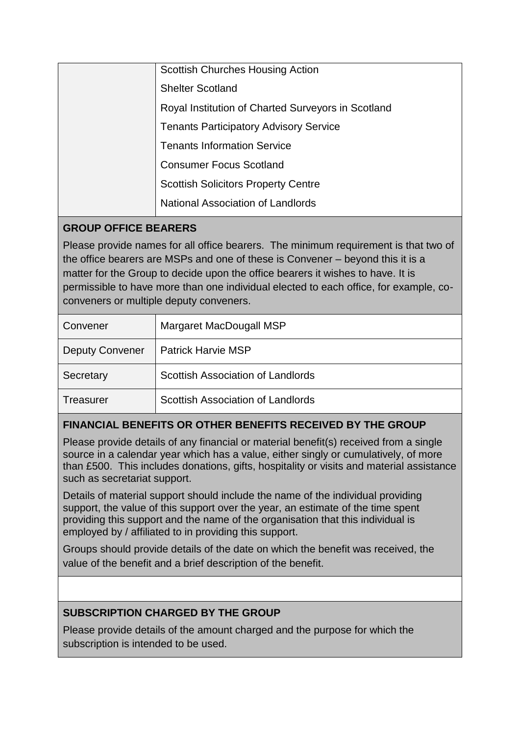| <b>Scottish Churches Housing Action</b>            |
|----------------------------------------------------|
| <b>Shelter Scotland</b>                            |
| Royal Institution of Charted Surveyors in Scotland |
| <b>Tenants Participatory Advisory Service</b>      |
| <b>Tenants Information Service</b>                 |
| <b>Consumer Focus Scotland</b>                     |
| <b>Scottish Solicitors Property Centre</b>         |
| National Association of Landlords                  |

## **GROUP OFFICE BEARERS**

Please provide names for all office bearers. The minimum requirement is that two of the office bearers are MSPs and one of these is Convener – beyond this it is a matter for the Group to decide upon the office bearers it wishes to have. It is permissible to have more than one individual elected to each office, for example, coconveners or multiple deputy conveners.

| Convener               | Margaret MacDougall MSP           |
|------------------------|-----------------------------------|
| <b>Deputy Convener</b> | <b>Patrick Harvie MSP</b>         |
| Secretary              | Scottish Association of Landlords |
| Treasurer              | Scottish Association of Landlords |

# **FINANCIAL BENEFITS OR OTHER BENEFITS RECEIVED BY THE GROUP**

Please provide details of any financial or material benefit(s) received from a single source in a calendar year which has a value, either singly or cumulatively, of more than £500. This includes donations, gifts, hospitality or visits and material assistance such as secretariat support.

Details of material support should include the name of the individual providing support, the value of this support over the year, an estimate of the time spent providing this support and the name of the organisation that this individual is employed by / affiliated to in providing this support.

Groups should provide details of the date on which the benefit was received, the value of the benefit and a brief description of the benefit.

## **SUBSCRIPTION CHARGED BY THE GROUP**

Please provide details of the amount charged and the purpose for which the subscription is intended to be used.